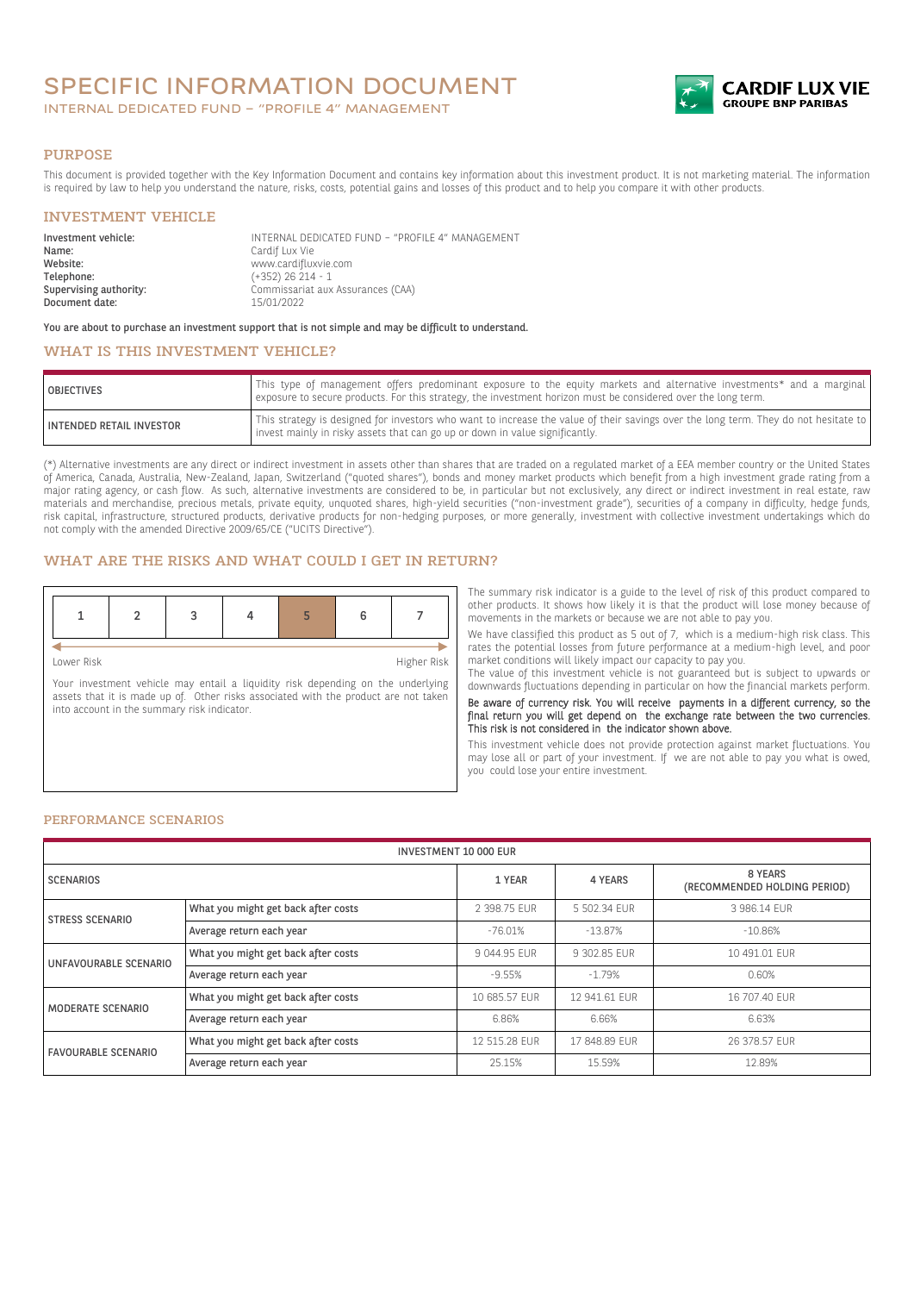# SPECIFIC INFORMATION DOCUMENT

INTERNAL DEDICATED FUND – "PROFILE 4" MANAGEMENT



#### PURPOSE

This document is provided together with the Key Information Document and contains key information about this investment product. It is not marketing material. The information is required by law to help you understand the nature, risks, costs, potential gains and losses of this product and to help you compare it with other products.

## INVESTMENT VEHICLE

| Investment vehicle:<br>Name: | INTERNAL DEDICATED FUND - "PROFILE 4" MANAGEMENT<br>Cardif Lux Vie |
|------------------------------|--------------------------------------------------------------------|
| Website:                     | www.cardifluxvie.com                                               |
| Telephone:                   | $(+352)$ 26 214 - 1                                                |
| Supervising authority:       | Commissariat aux Assurances (CAA)                                  |
| Document date:               | 15/01/2022                                                         |

You are about to purchase an investment support that is not simple and may be difficult to understand.

# WHAT IS THIS INVESTMENT VEHICLE?

| <b>OBJECTIVES</b>               | This type of management offers predominant exposure to the equity markets and alternative investments* and a marginal<br>exposure to secure products. For this strategy, the investment horizon must be considered over the long term. |
|---------------------------------|----------------------------------------------------------------------------------------------------------------------------------------------------------------------------------------------------------------------------------------|
| <b>INTENDED RETAIL INVESTOR</b> | This strategy is designed for investors who want to increase the value of their savings over the long term. They do not hesitate to<br>invest mainly in risky assets that can go up or down in value significantly.                    |

(\*) Alternative investments are any direct or indirect investment in assets other than shares that are traded on a regulated market of a EEA member country or the United States of America, Canada, Australia, New-Zealand, Japan, Switzerland ("quoted shares"), bonds and money market products which benefit from a high investment grade rating from a major rating agency, or cash flow. As such, alternative investments are considered to be, in particular but not exclusively, any direct or indirect investment in real estate, raw materials and merchandise, precious metals, private equity, unquoted shares, high-yield securities ("non-investment grade"), securities of a company in difficulty, hedge funds, risk capital, infrastructure, structured products, derivative products for non-hedging purposes, or more generally, investment with collective investment undertakings which do not comply with the amended Directive 2009/65/CE ("UCITS Directive").

### WHAT ARE THE RISKS AND WHAT COULD I GET IN RETURN?

Lower Risk Higher Risk

Your investment vehicle may entail a liquidity risk depending on the underlying assets that it is made up of. Other risks associated with the product are not taken into account in the summary risk indicator.

The summary risk indicator is a guide to the level of risk of this product compared to other products. It shows how likely it is that the product will lose money because of movements in the markets or because we are not able to pay you.

We have classified this product as 5 out of 7, which is a medium-high risk class. This rates the potential losses from future performance at a medium-high level, and poor market conditions will likely impact our capacity to pay you.

The value of this investment vehicle is not guaranteed but is subject to upwards or downwards fluctuations depending in particular on how the financial markets perform.

Be aware of currency risk. You will receive payments in a different currency, so the final return you will get depend on the exchange rate between the two currencies. This risk is not considered in the indicator shown above.

This investment vehicle does not provide protection against market fluctuations. You may lose all or part of your investment. If we are not able to pay you what is owed, you could lose your entire investment.

#### PERFORMANCE SCENARIOS

| <b>INVESTMENT 10 000 EUR</b>                                  |                                     |               |               |                                         |
|---------------------------------------------------------------|-------------------------------------|---------------|---------------|-----------------------------------------|
| <b>SCENARIOS</b>                                              |                                     | 1 YEAR        | 4 YEARS       | 8 YEARS<br>(RECOMMENDED HOLDING PERIOD) |
| What you might get back after costs<br><b>STRESS SCENARIO</b> |                                     | 2 398.75 EUR  | 5 502.34 EUR  | 3 986.14 EUR                            |
|                                                               | Average return each year            | $-76.01%$     | $-13.87%$     | $-10.86%$                               |
| UNFAVOURABLE SCENARIO                                         | What you might get back after costs | 9 044.95 EUR  | 9 302.85 EUR  | 10 491.01 EUR                           |
|                                                               | Average return each year            | $-9.55%$      | $-1.79%$      | 0.60%                                   |
| MODERATE SCENARIO                                             | What you might get back after costs | 10 685.57 EUR | 12 941.61 EUR | 16 707.40 EUR                           |
|                                                               | Average return each year            | 6.86%         | 6.66%         | 6.63%                                   |
| <b>FAVOURABLE SCENARIO</b>                                    | What you might get back after costs | 12 515.28 EUR | 17 848.89 EUR | 26 378.57 EUR                           |
|                                                               | Average return each year            | 25.15%        | 15.59%        | 12.89%                                  |